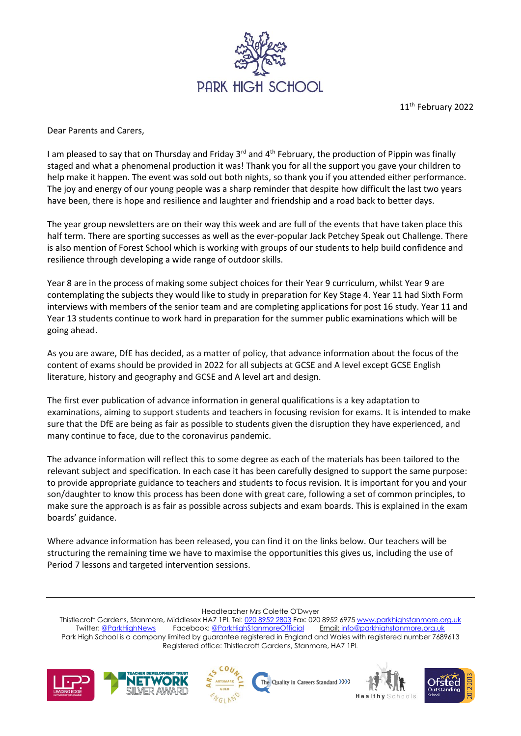

11<sup>th</sup> February 2022

Dear Parents and Carers,

I am pleased to say that on Thursday and Friday 3<sup>rd</sup> and 4<sup>th</sup> February, the production of Pippin was finally staged and what a phenomenal production it was! Thank you for all the support you gave your children to help make it happen. The event was sold out both nights, so thank you if you attended either performance. The joy and energy of our young people was a sharp reminder that despite how difficult the last two years have been, there is hope and resilience and laughter and friendship and a road back to better days.

The year group newsletters are on their way this week and are full of the events that have taken place this half term. There are sporting successes as well as the ever-popular Jack Petchey Speak out Challenge. There is also mention of Forest School which is working with groups of our students to help build confidence and resilience through developing a wide range of outdoor skills.

Year 8 are in the process of making some subject choices for their Year 9 curriculum, whilst Year 9 are contemplating the subjects they would like to study in preparation for Key Stage 4. Year 11 had Sixth Form interviews with members of the senior team and are completing applications for post 16 study. Year 11 and Year 13 students continue to work hard in preparation for the summer public examinations which will be going ahead.

As you are aware, DfE has decided, as a matter of policy, that advance information about the focus of the content of exams should be provided in 2022 for all subjects at GCSE and A level except GCSE English literature, history and geography and GCSE and A level art and design.

The first ever publication of advance information in general qualifications is a key adaptation to examinations, aiming to support students and teachers in focusing revision for exams. It is intended to make sure that the DfE are being as fair as possible to students given the disruption they have experienced, and many continue to face, due to the coronavirus pandemic.

The advance information will reflect this to some degree as each of the materials has been tailored to the relevant subject and specification. In each case it has been carefully designed to support the same purpose: to provide appropriate guidance to teachers and students to focus revision. It is important for you and your son/daughter to know this process has been done with great care, following a set of common principles, to make sure the approach is as fair as possible across subjects and exam boards. This is explained in the exam boards' guidance.

Where advance information has been released, you can find it on the links below. Our teachers will be structuring the remaining time we have to maximise the opportunities this gives us, including the use of Period 7 lessons and targeted intervention sessions.

Headteacher Mrs Colette O'Dwyer

Thistlecroft Gardens, Stanmore, Middlesex HA7 1PL Tel[: 020 8952 2803](file://///phs-apps-06/Digital$/Templates/020%208952%202803) Fax: 020 8952 697[5 www.parkhighstanmore.org.uk](file://///phs-apps-06/Digital$/Templates/www.parkhighstanmore.org.uk)<br>Twitter: @ParkHighNews Facebook: @ParkHighStanmoreOfficial Email: info@parkhighstanmore.org.uk Facebook: [@ParkHighStanmoreOfficial](https://www.facebook.com/pg/ParkHighStanmoreOfficial) Email: info@parkhighstanmore.org.uk Park High School is a company limited by guarantee registered in England and Wales with registered number 7689613 Registered office: Thistlecroft Gardens, Stanmore, HA7 1PL